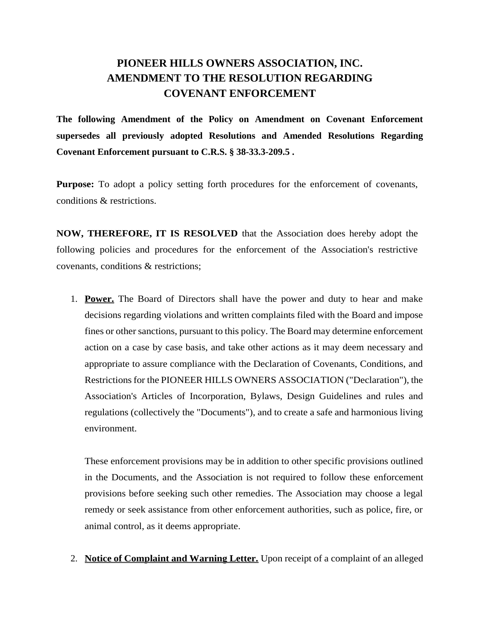## **PIONEER HILLS OWNERS ASSOCIATION, INC. AMENDMENT TO THE RESOLUTION REGARDING COVENANT ENFORCEMENT**

**The following Amendment of the Policy on Amendment on Covenant Enforcement supersedes all previously adopted Resolutions and Amended Resolutions Regarding Covenant Enforcement pursuant to C.R.S. § 38-33.3-209.5 .**

**Purpose:** To adopt a policy setting forth procedures for the enforcement of covenants, conditions & restrictions.

**NOW, THEREFORE, IT IS RESOLVED** that the Association does hereby adopt the following policies and procedures for the enforcement of the Association's restrictive covenants, conditions & restrictions;

1. **Power.** The Board of Directors shall have the power and duty to hear and make decisions regarding violations and written complaints filed with the Board and impose fines or other sanctions, pursuant to this policy. The Board may determine enforcement action on a case by case basis, and take other actions as it may deem necessary and appropriate to assure compliance with the Declaration of Covenants, Conditions, and Restrictions for the PIONEER HILLS OWNERS ASSOCIATION ("Declaration"), the Association's Articles of Incorporation, Bylaws, Design Guidelines and rules and regulations (collectively the "Documents"), and to create a safe and harmonious living environment.

These enforcement provisions may be in addition to other specific provisions outlined in the Documents, and the Association is not required to follow these enforcement provisions before seeking such other remedies. The Association may choose a legal remedy or seek assistance from other enforcement authorities, such as police, fire, or animal control, as it deems appropriate.

2. **Notice of Complaint and Warning Letter.** Upon receipt of a complaint of an alleged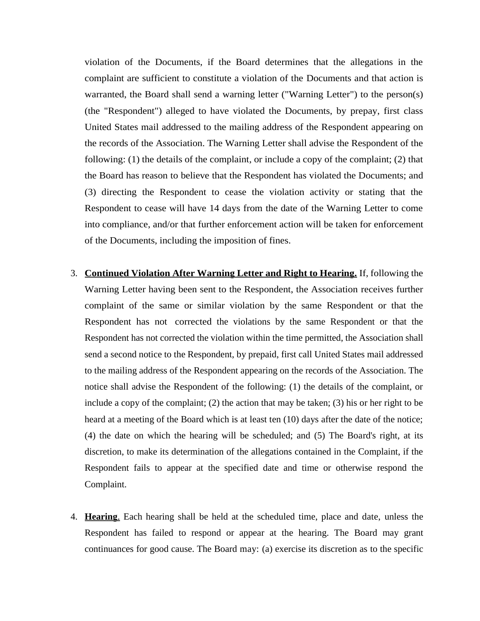violation of the Documents, if the Board determines that the allegations in the complaint are sufficient to constitute a violation of the Documents and that action is warranted, the Board shall send a warning letter ("Warning Letter") to the person(s) (the "Respondent") alleged to have violated the Documents, by prepay, first class United States mail addressed to the mailing address of the Respondent appearing on the records of the Association. The Warning Letter shall advise the Respondent of the following: (1) the details of the complaint, or include a copy of the complaint; (2) that the Board has reason to believe that the Respondent has violated the Documents; and (3) directing the Respondent to cease the violation activity or stating that the Respondent to cease will have 14 days from the date of the Warning Letter to come into compliance, and/or that further enforcement action will be taken for enforcement of the Documents, including the imposition of fines.

- 3. **Continued Violation After Warning Letter and Right to Hearing.** If, following the Warning Letter having been sent to the Respondent, the Association receives further complaint of the same or similar violation by the same Respondent or that the Respondent has not corrected the violations by the same Respondent or that the Respondent has not corrected the violation within the time permitted, the Association shall send a second notice to the Respondent, by prepaid, first call United States mail addressed to the mailing address of the Respondent appearing on the records of the Association. The notice shall advise the Respondent of the following: (1) the details of the complaint, or include a copy of the complaint; (2) the action that may be taken; (3) his or her right to be heard at a meeting of the Board which is at least ten (10) days after the date of the notice; (4) the date on which the hearing will be scheduled; and (5) The Board's right, at its discretion, to make its determination of the allegations contained in the Complaint, if the Respondent fails to appear at the specified date and time or otherwise respond the Complaint.
- 4. **Hearing**. Each hearing shall be held at the scheduled time, place and date, unless the Respondent has failed to respond or appear at the hearing. The Board may grant continuances for good cause. The Board may: (a) exercise its discretion as to the specific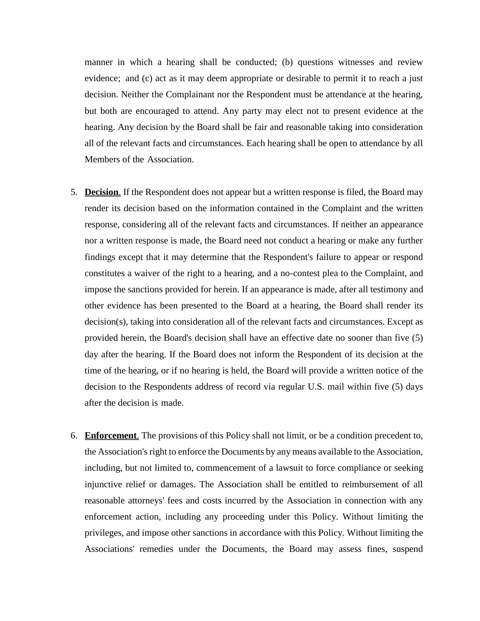manner in which a hearing shall be conducted; (b) questions witnesses and review evidence; and (c) act as it may deem appropriate or desirable to permit it to reach a just decision. Neither the Complainant nor the Respondent must be attendance at the hearing, but both are encouraged to attend. Any party may elect not to present evidence at the hearing. Any decision by the Board shall be fair and reasonable taking into consideration all of the relevant facts and circumstances. Each hearing shall be open to attendance by all Members of the Association.

- 5. **Decision**. If the Respondent does not appear but a written response is filed, the Board may render its decision based on the information contained in the Complaint and the written response, considering all of the relevant facts and circumstances. If neither an appearance nor a written response is made, the Board need not conduct a hearing or make any further findings except that it may determine that the Respondent's failure to appear or respond constitutes a waiver of the right to a hearing, and a no-contest plea to the Complaint, and impose the sanctions provided for herein. If an appearance is made, after all testimony and other evidence has been presented to the Board at a hearing, the Board shall render its decision(s), taking into consideration all of the relevant facts and circumstances. Except as provided herein, the Board's decision shall have an effective date no sooner than five (5) day after the hearing. If the Board does not inform the Respondent of its decision at the time of the hearing, or if no hearing is held, the Board will provide a written notice of the decision to the Respondents address of record via regular U.S. mail within five (5) days after the decision is made.
- 6. **Enforcement**. The provisions of this Policy shall not limit, or be a condition precedent to, the Association's right to enforce the Documents by any means available to the Association, including, but not limited to, commencement of a lawsuit to force compliance or seeking injunctive relief or damages. The Association shall be entitled to reimbursement of all reasonable attorneys' fees and costs incurred by the Association in connection with any enforcement action, including any proceeding under this Policy. Without limiting the privileges, and impose other sanctions in accordance with this Policy. Without limiting the Associations' remedies under the Documents, the Board may assess fines, suspend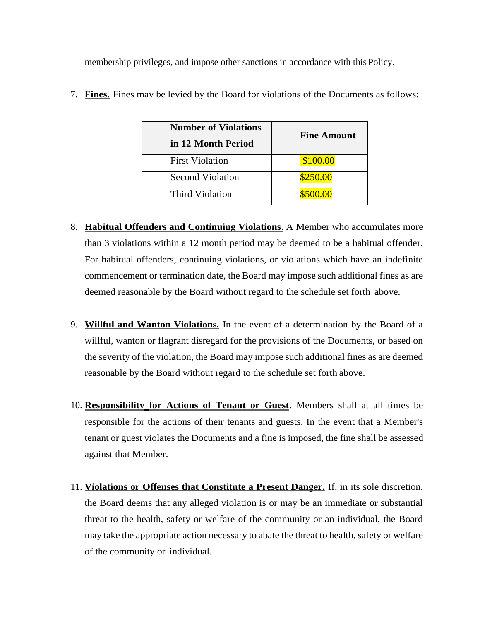membership privileges, and impose other sanctions in accordance with this Policy.

| <b>Number of Violations</b><br>in 12 Month Period | <b>Fine Amount</b> |
|---------------------------------------------------|--------------------|
| <b>First Violation</b>                            | \$100.00           |
| <b>Second Violation</b>                           | \$250.00           |
| <b>Third Violation</b>                            | \$500.00           |

7. **Fines**. Fines may be levied by the Board for violations of the Documents as follows:

- 8. **Habitual Offenders and Continuing Violations**. A Member who accumulates more than 3 violations within a 12 month period may be deemed to be a habitual offender. For habitual offenders, continuing violations, or violations which have an indefinite commencement or termination date, the Board may impose such additional fines as are deemed reasonable by the Board without regard to the schedule set forth above.
- 9. **Willful and Wanton Violations.** In the event of a determination by the Board of a willful, wanton or flagrant disregard for the provisions of the Documents, or based on the severity of the violation, the Board may impose such additional fines as are deemed reasonable by the Board without regard to the schedule set forth above.
- 10. **Responsibility for Actions of Tenant or Guest**. Members shall at all times be responsible for the actions of their tenants and guests. In the event that a Member's tenant or guest violates the Documents and a fine is imposed, the fine shall be assessed against that Member.
- 11. **Violations or Offenses that Constitute a Present Danger.** If, in its sole discretion, the Board deems that any alleged violation is or may be an immediate or substantial threat to the health, safety or welfare of the community or an individual, the Board may take the appropriate action necessary to abate the threat to health, safety or welfare of the community or individual.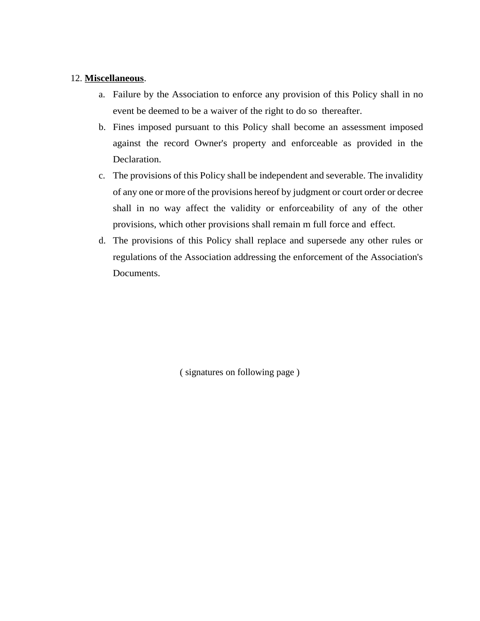## 12. **Miscellaneous**.

- a. Failure by the Association to enforce any provision of this Policy shall in no event be deemed to be a waiver of the right to do so thereafter.
- b. Fines imposed pursuant to this Policy shall become an assessment imposed against the record Owner's property and enforceable as provided in the Declaration.
- c. The provisions of this Policy shall be independent and severable. The invalidity of any one or more of the provisions hereof by judgment or court order or decree shall in no way affect the validity or enforceability of any of the other provisions, which other provisions shall remain m full force and effect.
- d. The provisions of this Policy shall replace and supersede any other rules or regulations of the Association addressing the enforcement of the Association's Documents.

( signatures on following page )